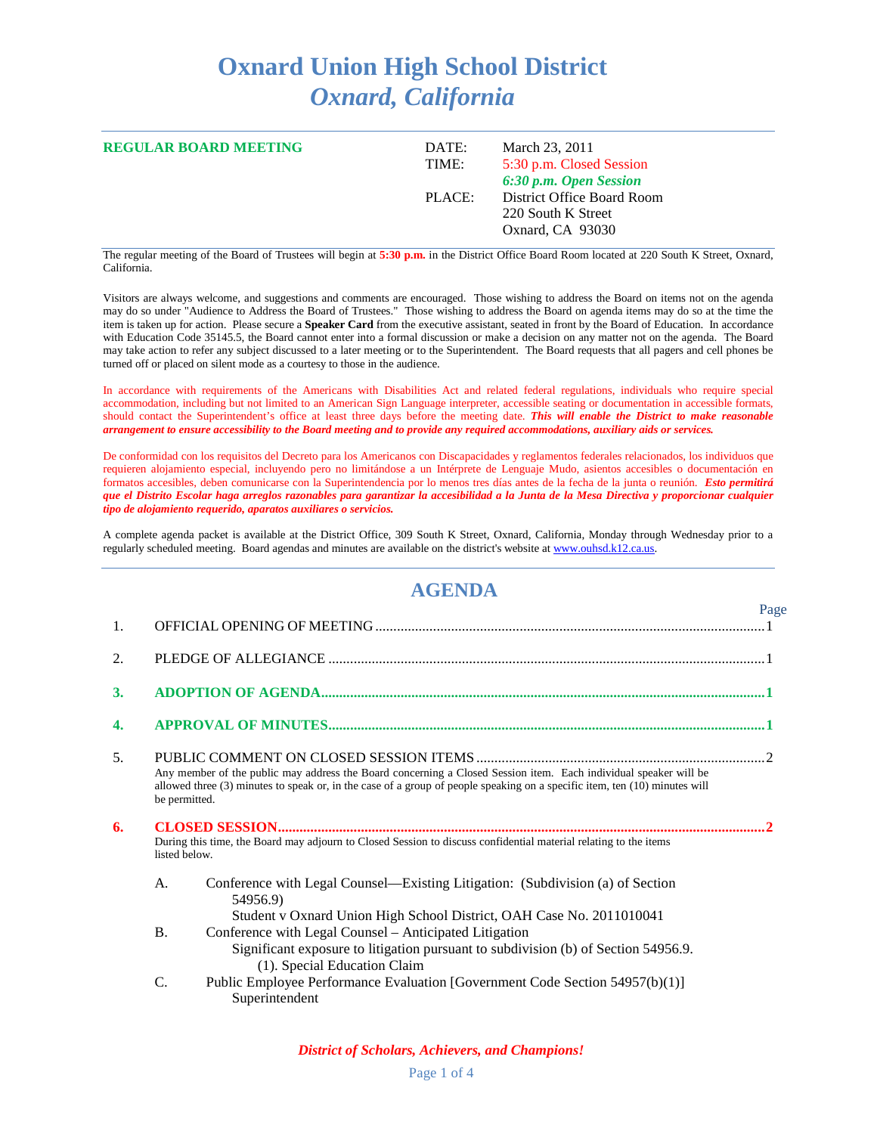## **Oxnard Union High School District** *Oxnard, California*

| <b>REGULAR BOARD MEETING</b> | DATE:<br>TIME: | March 23, 2011<br>5:30 p.m. Closed Session<br>6:30 p.m. Open Session |
|------------------------------|----------------|----------------------------------------------------------------------|
|                              | PLACE:         | District Office Board Room<br>220 South K Street<br>Oxnard, CA 93030 |

The regular meeting of the Board of Trustees will begin at **5:30 p.m.** in the District Office Board Room located at 220 South K Street, Oxnard, California.

Visitors are always welcome, and suggestions and comments are encouraged. Those wishing to address the Board on items not on the agenda may do so under "Audience to Address the Board of Trustees." Those wishing to address the Board on agenda items may do so at the time the item is taken up for action. Please secure a **Speaker Card** from the executive assistant, seated in front by the Board of Education. In accordance with Education Code 35145.5, the Board cannot enter into a formal discussion or make a decision on any matter not on the agenda. The Board may take action to refer any subject discussed to a later meeting or to the Superintendent. The Board requests that all pagers and cell phones be turned off or placed on silent mode as a courtesy to those in the audience.

In accordance with requirements of the Americans with Disabilities Act and related federal regulations, individuals who require special accommodation, including but not limited to an American Sign Language interpreter, accessible seating or documentation in accessible formats, should contact the Superintendent's office at least three days before the meeting date. *This will enable the District to make reasonable arrangement to ensure accessibility to the Board meeting and to provide any required accommodations, auxiliary aids or services.*

De conformidad con los requisitos del Decreto para los Americanos con Discapacidades y reglamentos federales relacionados, los individuos que requieren alojamiento especial, incluyendo pero no limitándose a un Intérprete de Lenguaje Mudo, asientos accesibles o documentación en formatos accesibles, deben comunicarse con la Superintendencia por lo menos tres días antes de la fecha de la junta o reunión. *Esto permitirá que el Distrito Escolar haga arreglos razonables para garantizar la accesibilidad a la Junta de la Mesa Directiva y proporcionar cualquier tipo de alojamiento requerido, aparatos auxiliares o servicios.*

A complete agenda packet is available at the District Office, 309 South K Street, Oxnard, California, Monday through Wednesday prior to a regularly scheduled meeting. Board agendas and minutes are available on the district's website a[t www.ouhsd.k12.ca.us.](http://www.ouhsd.k12.ca.us/)

## **AGENDA**

|    |                                                                                                                                   |                                                                                                                                                                                                                                                      | Page |
|----|-----------------------------------------------------------------------------------------------------------------------------------|------------------------------------------------------------------------------------------------------------------------------------------------------------------------------------------------------------------------------------------------------|------|
| 1. |                                                                                                                                   |                                                                                                                                                                                                                                                      |      |
| 2. |                                                                                                                                   |                                                                                                                                                                                                                                                      |      |
| 3. |                                                                                                                                   |                                                                                                                                                                                                                                                      |      |
| 4. |                                                                                                                                   |                                                                                                                                                                                                                                                      |      |
| 5. | be permitted.                                                                                                                     | Any member of the public may address the Board concerning a Closed Session item. Each individual speaker will be<br>allowed three (3) minutes to speak or, in the case of a group of people speaking on a specific item, ten (10) minutes will       |      |
| 6. | During this time, the Board may adjourn to Closed Session to discuss confidential material relating to the items<br>listed below. |                                                                                                                                                                                                                                                      |      |
|    | А.                                                                                                                                | Conference with Legal Counsel—Existing Litigation: (Subdivision (a) of Section<br>54956.9)                                                                                                                                                           |      |
|    | <b>B.</b>                                                                                                                         | Student v Oxnard Union High School District, OAH Case No. 2011010041<br>Conference with Legal Counsel - Anticipated Litigation<br>Significant exposure to litigation pursuant to subdivision (b) of Section 54956.9.<br>(1). Special Education Claim |      |
|    | $\mathcal{C}$ .                                                                                                                   | Public Employee Performance Evaluation [Government Code Section 54957(b)(1)]<br>Superintendent                                                                                                                                                       |      |

*District of Scholars, Achievers, and Champions!*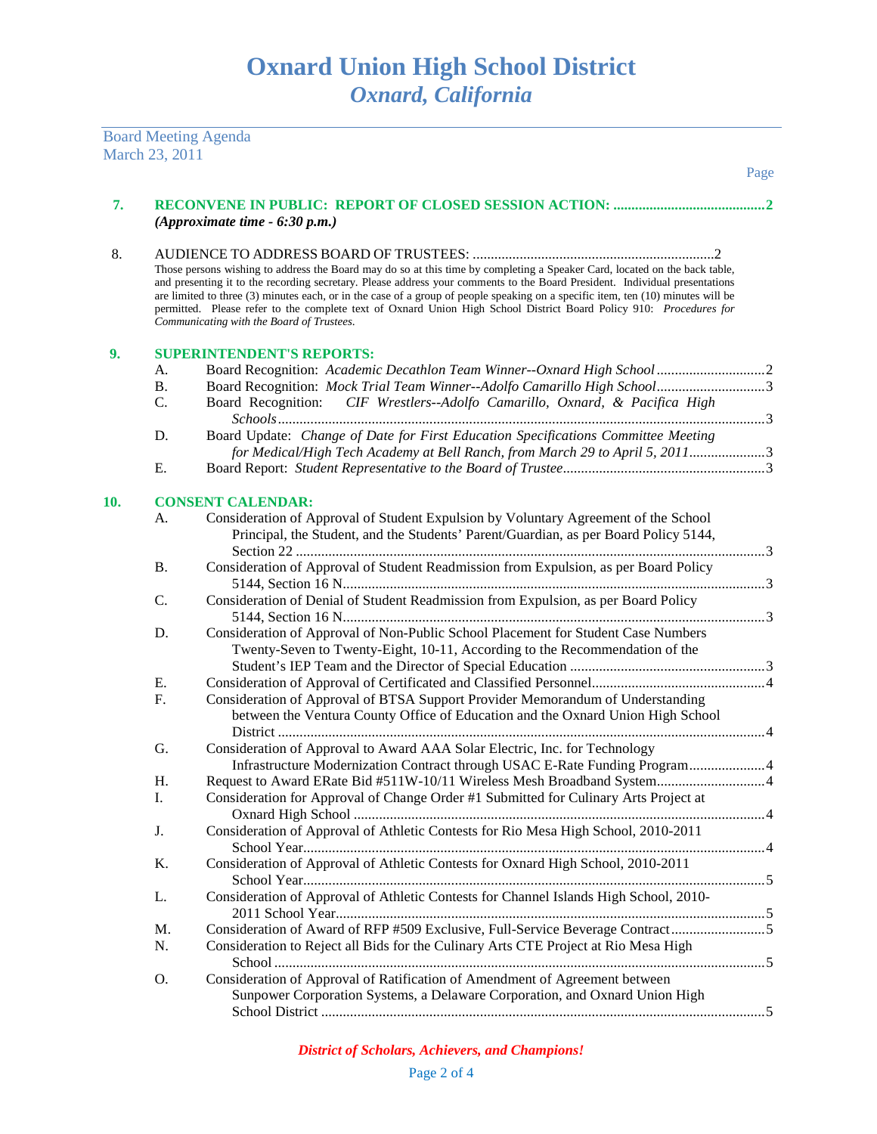Board Meeting Agenda March 23, 2011

| 7.  |           |                                                                                                                                                                                                                                                                                                                                                                                                                                                                                                                                                                  |  |
|-----|-----------|------------------------------------------------------------------------------------------------------------------------------------------------------------------------------------------------------------------------------------------------------------------------------------------------------------------------------------------------------------------------------------------------------------------------------------------------------------------------------------------------------------------------------------------------------------------|--|
|     |           | (Approximate time $-6:30$ p.m.)                                                                                                                                                                                                                                                                                                                                                                                                                                                                                                                                  |  |
| 8.  |           |                                                                                                                                                                                                                                                                                                                                                                                                                                                                                                                                                                  |  |
|     |           | Those persons wishing to address the Board may do so at this time by completing a Speaker Card, located on the back table,<br>and presenting it to the recording secretary. Please address your comments to the Board President. Individual presentations<br>are limited to three (3) minutes each, or in the case of a group of people speaking on a specific item, ten (10) minutes will be<br>permitted. Please refer to the complete text of Oxnard Union High School District Board Policy 910: Procedures for<br>Communicating with the Board of Trustees. |  |
| 9.  |           | <b>SUPERINTENDENT'S REPORTS:</b>                                                                                                                                                                                                                                                                                                                                                                                                                                                                                                                                 |  |
|     | A.        | Board Recognition: Academic Decathlon Team Winner--Oxnard High School  2                                                                                                                                                                                                                                                                                                                                                                                                                                                                                         |  |
|     | <b>B.</b> |                                                                                                                                                                                                                                                                                                                                                                                                                                                                                                                                                                  |  |
|     | C.        | Board Recognition: CIF Wrestlers--Adolfo Camarillo, Oxnard, & Pacifica High                                                                                                                                                                                                                                                                                                                                                                                                                                                                                      |  |
|     | D.        | Board Update: Change of Date for First Education Specifications Committee Meeting                                                                                                                                                                                                                                                                                                                                                                                                                                                                                |  |
|     |           | for Medical/High Tech Academy at Bell Ranch, from March 29 to April 5, 20113                                                                                                                                                                                                                                                                                                                                                                                                                                                                                     |  |
|     | Е.        |                                                                                                                                                                                                                                                                                                                                                                                                                                                                                                                                                                  |  |
|     |           |                                                                                                                                                                                                                                                                                                                                                                                                                                                                                                                                                                  |  |
| 10. |           | <b>CONSENT CALENDAR:</b>                                                                                                                                                                                                                                                                                                                                                                                                                                                                                                                                         |  |
|     | A.        | Consideration of Approval of Student Expulsion by Voluntary Agreement of the School                                                                                                                                                                                                                                                                                                                                                                                                                                                                              |  |
|     |           | Principal, the Student, and the Students' Parent/Guardian, as per Board Policy 5144,                                                                                                                                                                                                                                                                                                                                                                                                                                                                             |  |
|     | Β.        | Consideration of Approval of Student Readmission from Expulsion, as per Board Policy                                                                                                                                                                                                                                                                                                                                                                                                                                                                             |  |
|     |           |                                                                                                                                                                                                                                                                                                                                                                                                                                                                                                                                                                  |  |
|     | C.        | Consideration of Denial of Student Readmission from Expulsion, as per Board Policy                                                                                                                                                                                                                                                                                                                                                                                                                                                                               |  |
|     |           |                                                                                                                                                                                                                                                                                                                                                                                                                                                                                                                                                                  |  |
|     | D.        | Consideration of Approval of Non-Public School Placement for Student Case Numbers                                                                                                                                                                                                                                                                                                                                                                                                                                                                                |  |
|     |           | Twenty-Seven to Twenty-Eight, 10-11, According to the Recommendation of the                                                                                                                                                                                                                                                                                                                                                                                                                                                                                      |  |
|     |           |                                                                                                                                                                                                                                                                                                                                                                                                                                                                                                                                                                  |  |
|     | Е.        |                                                                                                                                                                                                                                                                                                                                                                                                                                                                                                                                                                  |  |
|     | F.        | Consideration of Approval of BTSA Support Provider Memorandum of Understanding                                                                                                                                                                                                                                                                                                                                                                                                                                                                                   |  |
|     |           | between the Ventura County Office of Education and the Oxnard Union High School                                                                                                                                                                                                                                                                                                                                                                                                                                                                                  |  |
|     |           |                                                                                                                                                                                                                                                                                                                                                                                                                                                                                                                                                                  |  |
|     | G.        | Consideration of Approval to Award AAA Solar Electric, Inc. for Technology<br>Infrastructure Modernization Contract through USAC E-Rate Funding Program 4                                                                                                                                                                                                                                                                                                                                                                                                        |  |
|     | Η.        | Request to Award ERate Bid #511W-10/11 Wireless Mesh Broadband System 4                                                                                                                                                                                                                                                                                                                                                                                                                                                                                          |  |
|     | I.        | Consideration for Approval of Change Order #1 Submitted for Culinary Arts Project at                                                                                                                                                                                                                                                                                                                                                                                                                                                                             |  |
|     |           |                                                                                                                                                                                                                                                                                                                                                                                                                                                                                                                                                                  |  |
|     | J.        | Consideration of Approval of Athletic Contests for Rio Mesa High School, 2010-2011                                                                                                                                                                                                                                                                                                                                                                                                                                                                               |  |
|     |           |                                                                                                                                                                                                                                                                                                                                                                                                                                                                                                                                                                  |  |
|     | Κ.        | Consideration of Approval of Athletic Contests for Oxnard High School, 2010-2011                                                                                                                                                                                                                                                                                                                                                                                                                                                                                 |  |
|     |           |                                                                                                                                                                                                                                                                                                                                                                                                                                                                                                                                                                  |  |
|     | L.        | Consideration of Approval of Athletic Contests for Channel Islands High School, 2010-                                                                                                                                                                                                                                                                                                                                                                                                                                                                            |  |
|     |           |                                                                                                                                                                                                                                                                                                                                                                                                                                                                                                                                                                  |  |
|     | M.        | Consideration of Award of RFP #509 Exclusive, Full-Service Beverage Contract                                                                                                                                                                                                                                                                                                                                                                                                                                                                                     |  |
|     | N.        | Consideration to Reject all Bids for the Culinary Arts CTE Project at Rio Mesa High                                                                                                                                                                                                                                                                                                                                                                                                                                                                              |  |
|     | O.        | Consideration of Approval of Ratification of Amendment of Agreement between                                                                                                                                                                                                                                                                                                                                                                                                                                                                                      |  |
|     |           | Sunpower Corporation Systems, a Delaware Corporation, and Oxnard Union High                                                                                                                                                                                                                                                                                                                                                                                                                                                                                      |  |
|     |           |                                                                                                                                                                                                                                                                                                                                                                                                                                                                                                                                                                  |  |
|     |           |                                                                                                                                                                                                                                                                                                                                                                                                                                                                                                                                                                  |  |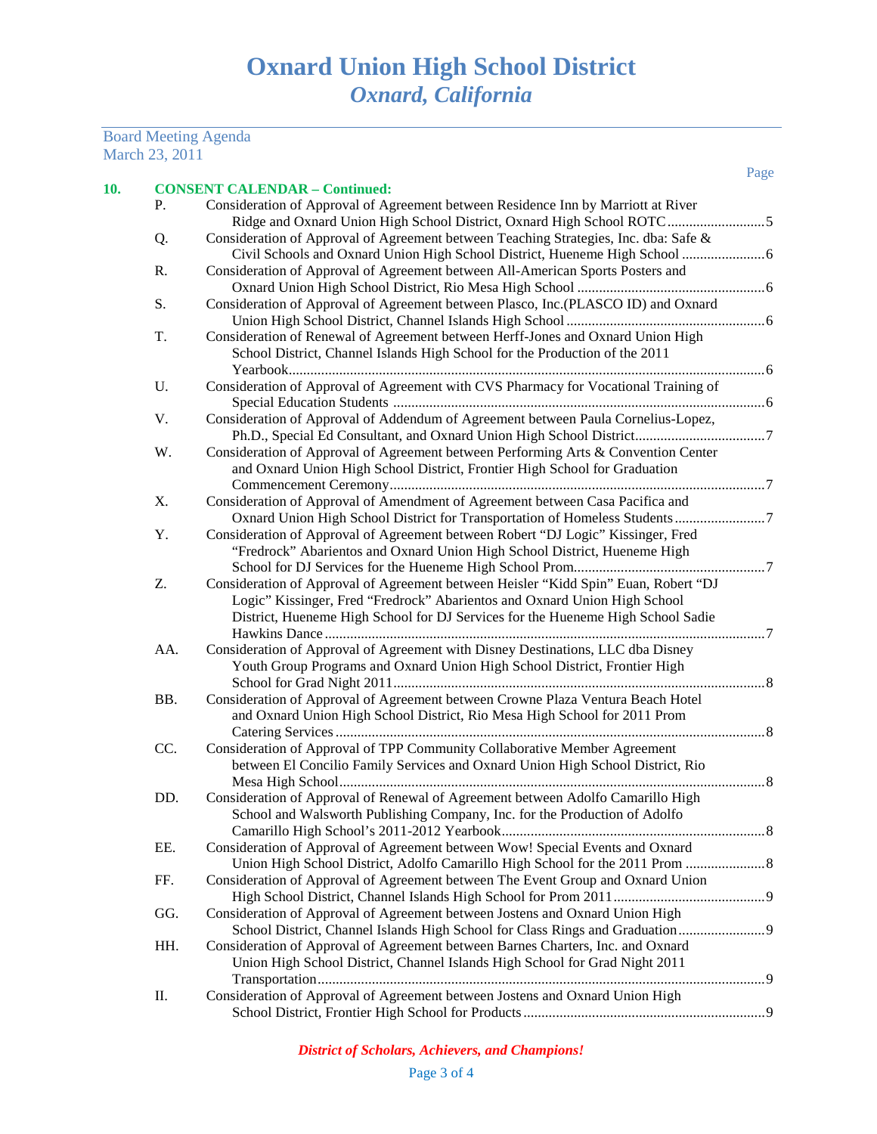## Board Meeting Agenda March 23, 2011

Page

| 10. |     | <b>CONSENT CALENDAR - Continued:</b>                                                                                                                                                                                                                |  |
|-----|-----|-----------------------------------------------------------------------------------------------------------------------------------------------------------------------------------------------------------------------------------------------------|--|
|     | Ρ.  | Consideration of Approval of Agreement between Residence Inn by Marriott at River                                                                                                                                                                   |  |
|     | Q.  | Consideration of Approval of Agreement between Teaching Strategies, Inc. dba: Safe &                                                                                                                                                                |  |
|     | R.  | Consideration of Approval of Agreement between All-American Sports Posters and                                                                                                                                                                      |  |
|     | S.  | Consideration of Approval of Agreement between Plasco, Inc.(PLASCO ID) and Oxnard                                                                                                                                                                   |  |
|     | T.  | Consideration of Renewal of Agreement between Herff-Jones and Oxnard Union High<br>School District, Channel Islands High School for the Production of the 2011                                                                                      |  |
|     | U.  | Consideration of Approval of Agreement with CVS Pharmacy for Vocational Training of                                                                                                                                                                 |  |
|     | V.  | Consideration of Approval of Addendum of Agreement between Paula Cornelius-Lopez,                                                                                                                                                                   |  |
|     | W.  | Consideration of Approval of Agreement between Performing Arts & Convention Center<br>and Oxnard Union High School District, Frontier High School for Graduation                                                                                    |  |
|     | X.  | Consideration of Approval of Amendment of Agreement between Casa Pacifica and<br>Oxnard Union High School District for Transportation of Homeless Students 7                                                                                        |  |
|     | Y.  | Consideration of Approval of Agreement between Robert "DJ Logic" Kissinger, Fred<br>"Fredrock" Abarientos and Oxnard Union High School District, Hueneme High                                                                                       |  |
|     | Z.  | Consideration of Approval of Agreement between Heisler "Kidd Spin" Euan, Robert "DJ<br>Logic" Kissinger, Fred "Fredrock" Abarientos and Oxnard Union High School<br>District, Hueneme High School for DJ Services for the Hueneme High School Sadie |  |
|     | AA. | Consideration of Approval of Agreement with Disney Destinations, LLC dba Disney<br>Youth Group Programs and Oxnard Union High School District, Frontier High                                                                                        |  |
|     | BB. | Consideration of Approval of Agreement between Crowne Plaza Ventura Beach Hotel<br>and Oxnard Union High School District, Rio Mesa High School for 2011 Prom                                                                                        |  |
|     | CC. | Consideration of Approval of TPP Community Collaborative Member Agreement<br>between El Concilio Family Services and Oxnard Union High School District, Rio                                                                                         |  |
|     | DD. | Consideration of Approval of Renewal of Agreement between Adolfo Camarillo High<br>School and Walsworth Publishing Company, Inc. for the Production of Adolfo                                                                                       |  |
|     | EE. | Consideration of Approval of Agreement between Wow! Special Events and Oxnard<br>Union High School District, Adolfo Camarillo High School for the 2011 Prom                                                                                         |  |
|     | FF. | Consideration of Approval of Agreement between The Event Group and Oxnard Union                                                                                                                                                                     |  |
|     | GG. | Consideration of Approval of Agreement between Jostens and Oxnard Union High<br>School District, Channel Islands High School for Class Rings and Graduation                                                                                         |  |
|     | HH. | Consideration of Approval of Agreement between Barnes Charters, Inc. and Oxnard<br>Union High School District, Channel Islands High School for Grad Night 2011                                                                                      |  |
|     | Π.  | Consideration of Approval of Agreement between Jostens and Oxnard Union High                                                                                                                                                                        |  |
|     |     |                                                                                                                                                                                                                                                     |  |